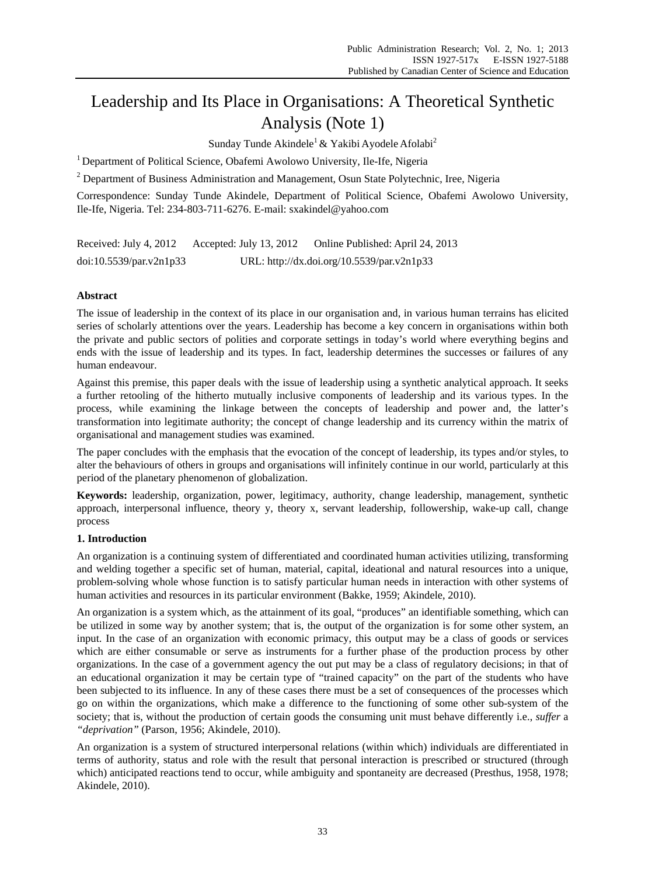# Leadership and Its Place in Organisations: A Theoretical Synthetic Analysis (Note 1)

Sunday Tunde Akindele<sup>1</sup> & Yakibi Ayodele Afolabi<sup>2</sup>

<sup>1</sup> Department of Political Science, Obafemi Awolowo University, Ile-Ife, Nigeria

 $2$  Department of Business Administration and Management, Osun State Polytechnic, Iree, Nigeria

Correspondence: Sunday Tunde Akindele, Department of Political Science, Obafemi Awolowo University, Ile-Ife, Nigeria. Tel: 234-803-711-6276. E-mail: sxakindel@yahoo.com

Received: July 4, 2012 Accepted: July 13, 2012 Online Published: April 24, 2013 doi:10.5539/par.v2n1p33 URL: http://dx.doi.org/10.5539/par.v2n1p33

# **Abstract**

The issue of leadership in the context of its place in our organisation and, in various human terrains has elicited series of scholarly attentions over the years. Leadership has become a key concern in organisations within both the private and public sectors of polities and corporate settings in today's world where everything begins and ends with the issue of leadership and its types. In fact, leadership determines the successes or failures of any human endeavour.

Against this premise, this paper deals with the issue of leadership using a synthetic analytical approach. It seeks a further retooling of the hitherto mutually inclusive components of leadership and its various types. In the process, while examining the linkage between the concepts of leadership and power and, the latter's transformation into legitimate authority; the concept of change leadership and its currency within the matrix of organisational and management studies was examined.

The paper concludes with the emphasis that the evocation of the concept of leadership, its types and/or styles, to alter the behaviours of others in groups and organisations will infinitely continue in our world, particularly at this period of the planetary phenomenon of globalization.

**Keywords:** leadership, organization, power, legitimacy, authority, change leadership, management, synthetic approach, interpersonal influence, theory y, theory x, servant leadership, followership, wake-up call, change process

# **1. Introduction**

An organization is a continuing system of differentiated and coordinated human activities utilizing, transforming and welding together a specific set of human, material, capital, ideational and natural resources into a unique, problem-solving whole whose function is to satisfy particular human needs in interaction with other systems of human activities and resources in its particular environment (Bakke, 1959; Akindele, 2010).

An organization is a system which, as the attainment of its goal, "produces" an identifiable something, which can be utilized in some way by another system; that is, the output of the organization is for some other system, an input. In the case of an organization with economic primacy, this output may be a class of goods or services which are either consumable or serve as instruments for a further phase of the production process by other organizations. In the case of a government agency the out put may be a class of regulatory decisions; in that of an educational organization it may be certain type of "trained capacity" on the part of the students who have been subjected to its influence. In any of these cases there must be a set of consequences of the processes which go on within the organizations, which make a difference to the functioning of some other sub-system of the society; that is, without the production of certain goods the consuming unit must behave differently i.e., *suffer* a *"deprivation"* (Parson, 1956; Akindele, 2010).

An organization is a system of structured interpersonal relations (within which) individuals are differentiated in terms of authority, status and role with the result that personal interaction is prescribed or structured (through which) anticipated reactions tend to occur, while ambiguity and spontaneity are decreased (Presthus, 1958, 1978; Akindele, 2010).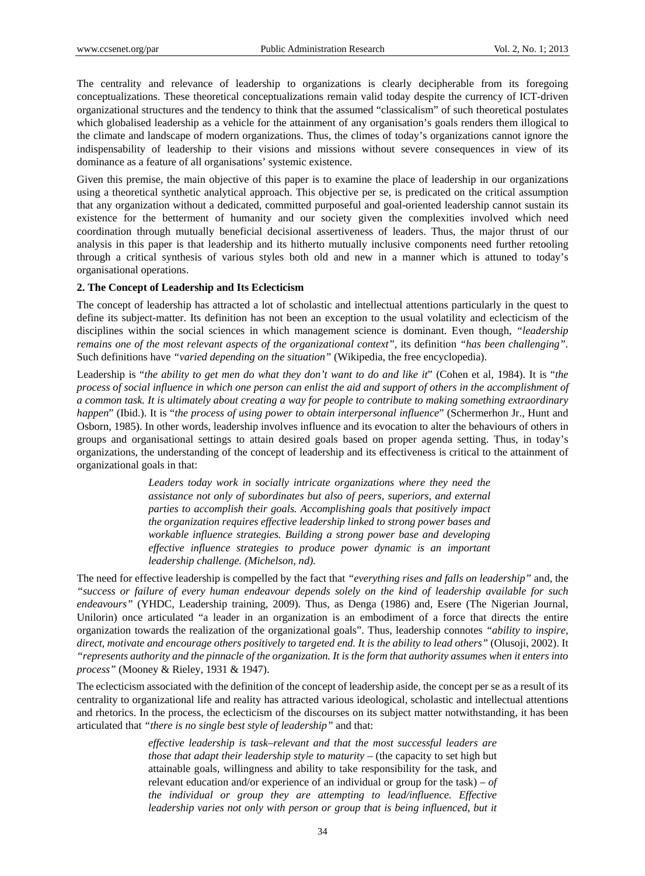The centrality and relevance of leadership to organizations is clearly decipherable from its foregoing conceptualizations. These theoretical conceptualizations remain valid today despite the currency of ICT-driven organizational structures and the tendency to think that the assumed "classicalism" of such theoretical postulates which globalised leadership as a vehicle for the attainment of any organisation's goals renders them illogical to the climate and landscape of modern organizations. Thus, the climes of today's organizations cannot ignore the indispensability of leadership to their visions and missions without severe consequences in view of its dominance as a feature of all organisations' systemic existence.

Given this premise, the main objective of this paper is to examine the place of leadership in our organizations using a theoretical synthetic analytical approach. This objective per se, is predicated on the critical assumption that any organization without a dedicated, committed purposeful and goal-oriented leadership cannot sustain its existence for the betterment of humanity and our society given the complexities involved which need coordination through mutually beneficial decisional assertiveness of leaders. Thus, the major thrust of our analysis in this paper is that leadership and its hitherto mutually inclusive components need further retooling through a critical synthesis of various styles both old and new in a manner which is attuned to today's organisational operations.

#### **2. The Concept of Leadership and Its Eclecticism**

The concept of leadership has attracted a lot of scholastic and intellectual attentions particularly in the quest to define its subject-matter. Its definition has not been an exception to the usual volatility and eclecticism of the disciplines within the social sciences in which management science is dominant. Even though, *"leadership remains one of the most relevant aspects of the organizational context"*, its definition *"has been challenging".* Such definitions have *"varied depending on the situation"* (Wikipedia, the free encyclopedia).

Leadership is "*the ability to get men do what they don't want to do and like it*" (Cohen et al, 1984). It is "*the process of social influence in which one person can enlist the aid and support of others in the accomplishment of a common task. It is ultimately about creating a way for people to contribute to making something extraordinary happen*" (Ibid.). It is "*the process of using power to obtain interpersonal influence*" (Schermerhon Jr., Hunt and Osborn, 1985). In other words, leadership involves influence and its evocation to alter the behaviours of others in groups and organisational settings to attain desired goals based on proper agenda setting. Thus, in today's organizations, the understanding of the concept of leadership and its effectiveness is critical to the attainment of organizational goals in that:

> *Leaders today work in socially intricate organizations where they need the assistance not only of subordinates but also of peers, superiors, and external parties to accomplish their goals. Accomplishing goals that positively impact the organization requires effective leadership linked to strong power bases and workable influence strategies. Building a strong power base and developing effective influence strategies to produce power dynamic is an important leadership challenge. (Michelson, nd).*

The need for effective leadership is compelled by the fact that *"everything rises and falls on leadership"* and, the *"success or failure of every human endeavour depends solely on the kind of leadership available for such endeavours"* (YHDC, Leadership training, 2009). Thus, as Denga (1986) and, Esere (The Nigerian Journal, Unilorin) once articulated "a leader in an organization is an embodiment of a force that directs the entire organization towards the realization of the organizational goals". Thus, leadership connotes *"ability to inspire, direct, motivate and encourage others positively to targeted end. It is the ability to lead others"* (Olusoji, 2002). It *"represents authority and the pinnacle of the organization. It is the form that authority assumes when it enters into process"* (Mooney & Rieley, 1931 & 1947).

The eclecticism associated with the definition of the concept of leadership aside, the concept per se as a result of its centrality to organizational life and reality has attracted various ideological, scholastic and intellectual attentions and rhetorics. In the process, the eclecticism of the discourses on its subject matter notwithstanding, it has been articulated that *"there is no single best style of leadership"* and that:

> *effective leadership is task–relevant and that the most successful leaders are those that adapt their leadership style to maturity –* (the capacity to set high but attainable goals, willingness and ability to take responsibility for the task, and relevant education and/or experience of an individual or group for the task) *– of the individual or group they are attempting to lead/influence. Effective leadership varies not only with person or group that is being influenced, but it*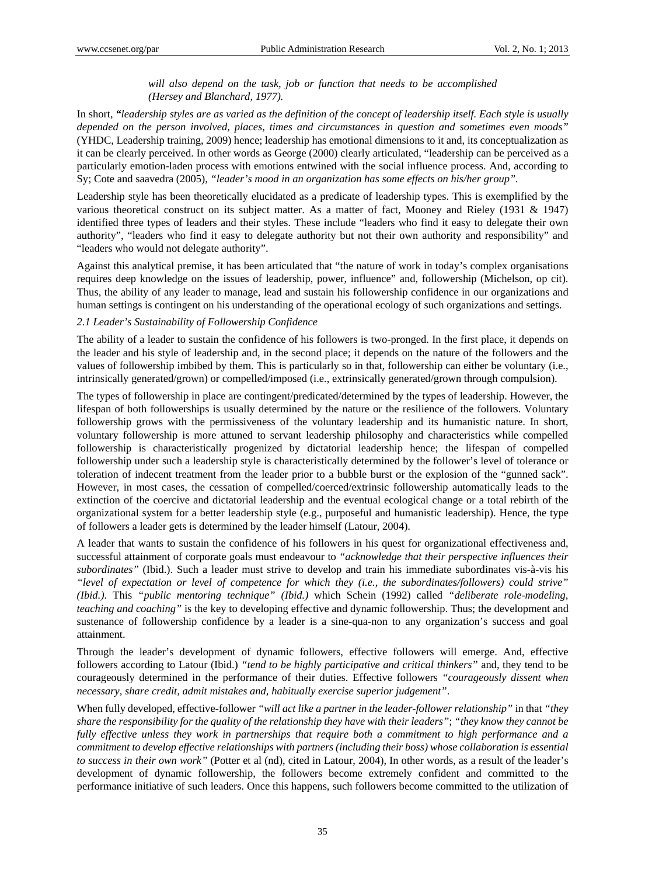*will also depend on the task, job or function that needs to be accomplished (Hersey and Blanchard, 1977).*

In short, *"leadership styles are as varied as the definition of the concept of leadership itself. Each style is usually depended on the person involved, places, times and circumstances in question and sometimes even moods"* (YHDC, Leadership training, 2009) hence; leadership has emotional dimensions to it and, its conceptualization as it can be clearly perceived. In other words as George (2000) clearly articulated, "leadership can be perceived as a particularly emotion-laden process with emotions entwined with the social influence process. And, according to Sy; Cote and saavedra (2005), *"leader's mood in an organization has some effects on his/her group".* 

Leadership style has been theoretically elucidated as a predicate of leadership types. This is exemplified by the various theoretical construct on its subject matter. As a matter of fact, Mooney and Rieley (1931 & 1947) identified three types of leaders and their styles. These include "leaders who find it easy to delegate their own authority", "leaders who find it easy to delegate authority but not their own authority and responsibility" and "leaders who would not delegate authority".

Against this analytical premise, it has been articulated that "the nature of work in today's complex organisations requires deep knowledge on the issues of leadership, power, influence" and, followership (Michelson, op cit). Thus, the ability of any leader to manage, lead and sustain his followership confidence in our organizations and human settings is contingent on his understanding of the operational ecology of such organizations and settings.

# *2.1 Leader's Sustainability of Followership Confidence*

The ability of a leader to sustain the confidence of his followers is two-pronged. In the first place, it depends on the leader and his style of leadership and, in the second place; it depends on the nature of the followers and the values of followership imbibed by them. This is particularly so in that, followership can either be voluntary (i.e., intrinsically generated/grown) or compelled/imposed (i.e., extrinsically generated/grown through compulsion).

The types of followership in place are contingent/predicated/determined by the types of leadership. However, the lifespan of both followerships is usually determined by the nature or the resilience of the followers. Voluntary followership grows with the permissiveness of the voluntary leadership and its humanistic nature. In short, voluntary followership is more attuned to servant leadership philosophy and characteristics while compelled followership is characteristically progenized by dictatorial leadership hence; the lifespan of compelled followership under such a leadership style is characteristically determined by the follower's level of tolerance or toleration of indecent treatment from the leader prior to a bubble burst or the explosion of the "gunned sack". However, in most cases, the cessation of compelled/coerced/extrinsic followership automatically leads to the extinction of the coercive and dictatorial leadership and the eventual ecological change or a total rebirth of the organizational system for a better leadership style (e.g., purposeful and humanistic leadership). Hence, the type of followers a leader gets is determined by the leader himself (Latour, 2004).

A leader that wants to sustain the confidence of his followers in his quest for organizational effectiveness and, successful attainment of corporate goals must endeavour to *"acknowledge that their perspective influences their subordinates"* (Ibid.). Such a leader must strive to develop and train his immediate subordinates vis-à-vis his *"level of expectation or level of competence for which they (i.e., the subordinates/followers) could strive" (Ibid.)*. This *"public mentoring technique" (Ibid.)* which Schein (1992) called *"deliberate role-modeling, teaching and coaching"* is the key to developing effective and dynamic followership. Thus; the development and sustenance of followership confidence by a leader is a sine-qua-non to any organization's success and goal attainment.

Through the leader's development of dynamic followers, effective followers will emerge. And, effective followers according to Latour (Ibid.) *"tend to be highly participative and critical thinkers"* and, they tend to be courageously determined in the performance of their duties. Effective followers *"courageously dissent when necessary, share credit, admit mistakes and, habitually exercise superior judgement"*.

When fully developed, effective-follower *"will act like a partner in the leader-follower relationship"* in that *"they share the responsibility for the quality of the relationship they have with their leaders"*; *"they know they cannot be fully effective unless they work in partnerships that require both a commitment to high performance and a commitment to develop effective relationships with partners (including their boss) whose collaboration is essential to success in their own work"* (Potter et al (nd), cited in Latour, 2004), In other words, as a result of the leader's development of dynamic followership, the followers become extremely confident and committed to the performance initiative of such leaders. Once this happens, such followers become committed to the utilization of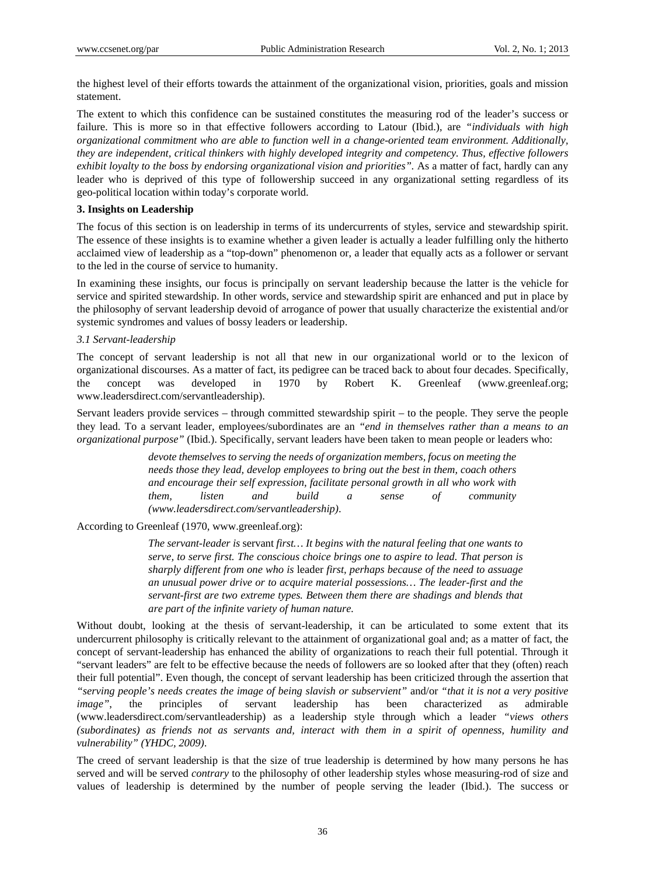the highest level of their efforts towards the attainment of the organizational vision, priorities, goals and mission statement.

The extent to which this confidence can be sustained constitutes the measuring rod of the leader's success or failure. This is more so in that effective followers according to Latour (Ibid.), are *"individuals with high organizational commitment who are able to function well in a change-oriented team environment. Additionally, they are independent, critical thinkers with highly developed integrity and competency. Thus, effective followers exhibit loyalty to the boss by endorsing organizational vision and priorities".* As a matter of fact, hardly can any leader who is deprived of this type of followership succeed in any organizational setting regardless of its geo-political location within today's corporate world.

## **3. Insights on Leadership**

The focus of this section is on leadership in terms of its undercurrents of styles, service and stewardship spirit. The essence of these insights is to examine whether a given leader is actually a leader fulfilling only the hitherto acclaimed view of leadership as a "top-down" phenomenon or, a leader that equally acts as a follower or servant to the led in the course of service to humanity.

In examining these insights, our focus is principally on servant leadership because the latter is the vehicle for service and spirited stewardship. In other words, service and stewardship spirit are enhanced and put in place by the philosophy of servant leadership devoid of arrogance of power that usually characterize the existential and/or systemic syndromes and values of bossy leaders or leadership.

## *3.1 Servant-leadership*

The concept of servant leadership is not all that new in our organizational world or to the lexicon of organizational discourses. As a matter of fact, its pedigree can be traced back to about four decades. Specifically, the concept was developed in 1970 by Robert K. Greenleaf (www.greenleaf.org; www.leadersdirect.com/servantleadership).

Servant leaders provide services – through committed stewardship spirit – to the people. They serve the people they lead. To a servant leader, employees/subordinates are an *"end in themselves rather than a means to an organizational purpose"* (Ibid.). Specifically, servant leaders have been taken to mean people or leaders who:

> *devote themselves to serving the needs of organization members, focus on meeting the needs those they lead, develop employees to bring out the best in them, coach others and encourage their self expression, facilitate personal growth in all who work with them, listen and build a sense of community (www.leadersdirect.com/servantleadership)*.

According to Greenleaf (1970, www.greenleaf.org):

*The servant-leader is* servant *first… It begins with the natural feeling that one wants to serve, to serve first. The conscious choice brings one to aspire to lead. That person is sharply different from one who is* leader *first, perhaps because of the need to assuage an unusual power drive or to acquire material possessions… The leader-first and the servant-first are two extreme types. Between them there are shadings and blends that are part of the infinite variety of human nature.* 

Without doubt, looking at the thesis of servant-leadership, it can be articulated to some extent that its undercurrent philosophy is critically relevant to the attainment of organizational goal and; as a matter of fact, the concept of servant-leadership has enhanced the ability of organizations to reach their full potential. Through it "servant leaders" are felt to be effective because the needs of followers are so looked after that they (often) reach their full potential". Even though, the concept of servant leadership has been criticized through the assertion that *"serving people's needs creates the image of being slavish or subservient"* and/or *"that it is not a very positive image"*, the principles of servant leadership has been characterized as admirable (www.leadersdirect.com/servantleadership) as a leadership style through which a leader *"views others (subordinates) as friends not as servants and, interact with them in a spirit of openness, humility and vulnerability" (YHDC, 2009)*.

The creed of servant leadership is that the size of true leadership is determined by how many persons he has served and will be served *contrary* to the philosophy of other leadership styles whose measuring-rod of size and values of leadership is determined by the number of people serving the leader (Ibid.). The success or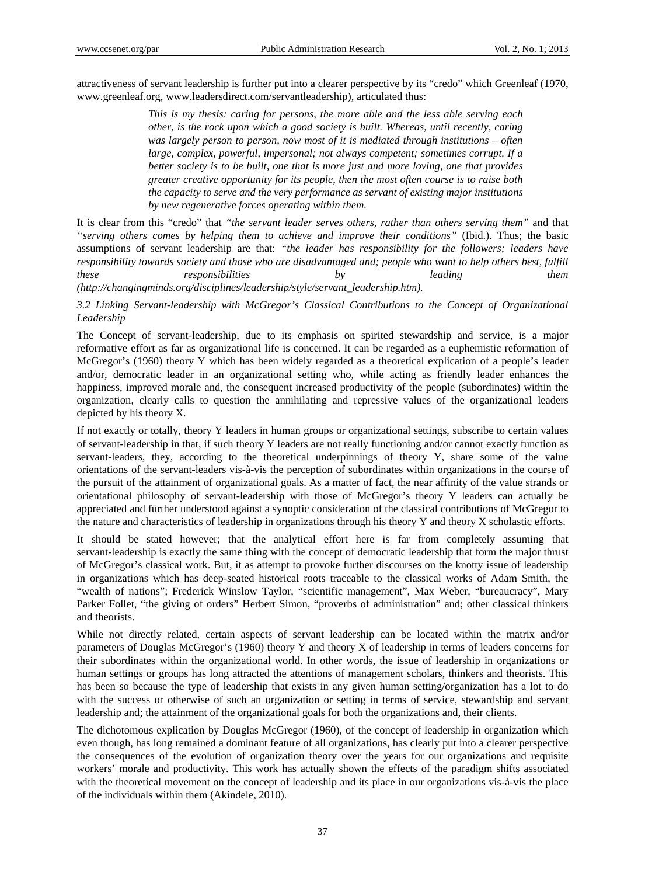attractiveness of servant leadership is further put into a clearer perspective by its "credo" which Greenleaf (1970, www.greenleaf.org, www.leadersdirect.com/servantleadership), articulated thus:

> *This is my thesis: caring for persons, the more able and the less able serving each other, is the rock upon which a good society is built. Whereas, until recently, caring was largely person to person, now most of it is mediated through institutions – often large, complex, powerful, impersonal; not always competent; sometimes corrupt. If a better society is to be built, one that is more just and more loving, one that provides greater creative opportunity for its people, then the most often course is to raise both the capacity to serve and the very performance as servant of existing major institutions by new regenerative forces operating within them.*

It is clear from this "credo" that *"the servant leader serves others, rather than others serving them"* and that *"serving others comes by helping them to achieve and improve their conditions"* (Ibid.). Thus; the basic assumptions of servant leadership are that: *"the leader has responsibility for the followers; leaders have responsibility towards society and those who are disadvantaged and; people who want to help others best, fulfill these responsibilities by leading them them them <i>them* 

*(http://changingminds.org/disciplines/leadership/style/servant\_leadership.htm).* 

# *3.2 Linking Servant-leadership with McGregor's Classical Contributions to the Concept of Organizational Leadership*

The Concept of servant-leadership, due to its emphasis on spirited stewardship and service, is a major reformative effort as far as organizational life is concerned. It can be regarded as a euphemistic reformation of McGregor's (1960) theory Y which has been widely regarded as a theoretical explication of a people's leader and/or, democratic leader in an organizational setting who, while acting as friendly leader enhances the happiness, improved morale and, the consequent increased productivity of the people (subordinates) within the organization, clearly calls to question the annihilating and repressive values of the organizational leaders depicted by his theory X.

If not exactly or totally, theory Y leaders in human groups or organizational settings, subscribe to certain values of servant-leadership in that, if such theory Y leaders are not really functioning and/or cannot exactly function as servant-leaders, they, according to the theoretical underpinnings of theory Y, share some of the value orientations of the servant-leaders vis-à-vis the perception of subordinates within organizations in the course of the pursuit of the attainment of organizational goals. As a matter of fact, the near affinity of the value strands or orientational philosophy of servant-leadership with those of McGregor's theory Y leaders can actually be appreciated and further understood against a synoptic consideration of the classical contributions of McGregor to the nature and characteristics of leadership in organizations through his theory Y and theory X scholastic efforts.

It should be stated however; that the analytical effort here is far from completely assuming that servant-leadership is exactly the same thing with the concept of democratic leadership that form the major thrust of McGregor's classical work. But, it as attempt to provoke further discourses on the knotty issue of leadership in organizations which has deep-seated historical roots traceable to the classical works of Adam Smith, the "wealth of nations"; Frederick Winslow Taylor, "scientific management", Max Weber, "bureaucracy", Mary Parker Follet, "the giving of orders" Herbert Simon, "proverbs of administration" and; other classical thinkers and theorists.

While not directly related, certain aspects of servant leadership can be located within the matrix and/or parameters of Douglas McGregor's (1960) theory Y and theory X of leadership in terms of leaders concerns for their subordinates within the organizational world. In other words, the issue of leadership in organizations or human settings or groups has long attracted the attentions of management scholars, thinkers and theorists. This has been so because the type of leadership that exists in any given human setting/organization has a lot to do with the success or otherwise of such an organization or setting in terms of service, stewardship and servant leadership and; the attainment of the organizational goals for both the organizations and, their clients.

The dichotomous explication by Douglas McGregor (1960), of the concept of leadership in organization which even though, has long remained a dominant feature of all organizations, has clearly put into a clearer perspective the consequences of the evolution of organization theory over the years for our organizations and requisite workers' morale and productivity. This work has actually shown the effects of the paradigm shifts associated with the theoretical movement on the concept of leadership and its place in our organizations vis-à-vis the place of the individuals within them (Akindele, 2010).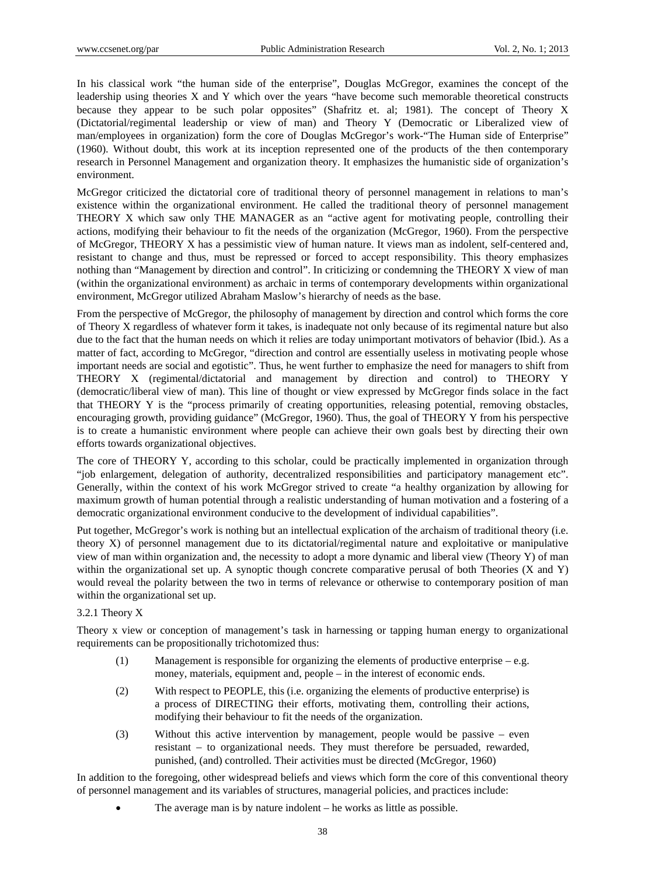In his classical work "the human side of the enterprise", Douglas McGregor, examines the concept of the leadership using theories X and Y which over the years "have become such memorable theoretical constructs because they appear to be such polar opposites" (Shafritz et. al; 1981). The concept of Theory X (Dictatorial/regimental leadership or view of man) and Theory Y (Democratic or Liberalized view of man/employees in organization) form the core of Douglas McGregor's work-"The Human side of Enterprise" (1960). Without doubt, this work at its inception represented one of the products of the then contemporary research in Personnel Management and organization theory. It emphasizes the humanistic side of organization's environment.

McGregor criticized the dictatorial core of traditional theory of personnel management in relations to man's existence within the organizational environment. He called the traditional theory of personnel management THEORY X which saw only THE MANAGER as an "active agent for motivating people, controlling their actions, modifying their behaviour to fit the needs of the organization (McGregor, 1960). From the perspective of McGregor, THEORY X has a pessimistic view of human nature. It views man as indolent, self-centered and, resistant to change and thus, must be repressed or forced to accept responsibility. This theory emphasizes nothing than "Management by direction and control". In criticizing or condemning the THEORY X view of man (within the organizational environment) as archaic in terms of contemporary developments within organizational environment, McGregor utilized Abraham Maslow's hierarchy of needs as the base.

From the perspective of McGregor, the philosophy of management by direction and control which forms the core of Theory X regardless of whatever form it takes, is inadequate not only because of its regimental nature but also due to the fact that the human needs on which it relies are today unimportant motivators of behavior (Ibid.). As a matter of fact, according to McGregor, "direction and control are essentially useless in motivating people whose important needs are social and egotistic". Thus, he went further to emphasize the need for managers to shift from THEORY X (regimental/dictatorial and management by direction and control) to THEORY Y (democratic/liberal view of man). This line of thought or view expressed by McGregor finds solace in the fact that THEORY Y is the "process primarily of creating opportunities, releasing potential, removing obstacles, encouraging growth, providing guidance" (McGregor, 1960). Thus, the goal of THEORY Y from his perspective is to create a humanistic environment where people can achieve their own goals best by directing their own efforts towards organizational objectives.

The core of THEORY Y, according to this scholar, could be practically implemented in organization through "job enlargement, delegation of authority, decentralized responsibilities and participatory management etc". Generally, within the context of his work McGregor strived to create "a healthy organization by allowing for maximum growth of human potential through a realistic understanding of human motivation and a fostering of a democratic organizational environment conducive to the development of individual capabilities".

Put together, McGregor's work is nothing but an intellectual explication of the archaism of traditional theory (i.e. theory X) of personnel management due to its dictatorial/regimental nature and exploitative or manipulative view of man within organization and, the necessity to adopt a more dynamic and liberal view (Theory Y) of man within the organizational set up. A synoptic though concrete comparative perusal of both Theories (X and Y) would reveal the polarity between the two in terms of relevance or otherwise to contemporary position of man within the organizational set up.

# 3.2.1 Theory X

Theory x view or conception of management's task in harnessing or tapping human energy to organizational requirements can be propositionally trichotomized thus:

- (1) Management is responsible for organizing the elements of productive enterprise  $-e.g.$ money, materials, equipment and, people – in the interest of economic ends.
- (2) With respect to PEOPLE, this (i.e. organizing the elements of productive enterprise) is a process of DIRECTING their efforts, motivating them, controlling their actions, modifying their behaviour to fit the needs of the organization.
- (3) Without this active intervention by management, people would be passive even resistant – to organizational needs. They must therefore be persuaded, rewarded, punished, (and) controlled. Their activities must be directed (McGregor, 1960)

In addition to the foregoing, other widespread beliefs and views which form the core of this conventional theory of personnel management and its variables of structures, managerial policies, and practices include:

The average man is by nature indolent – he works as little as possible.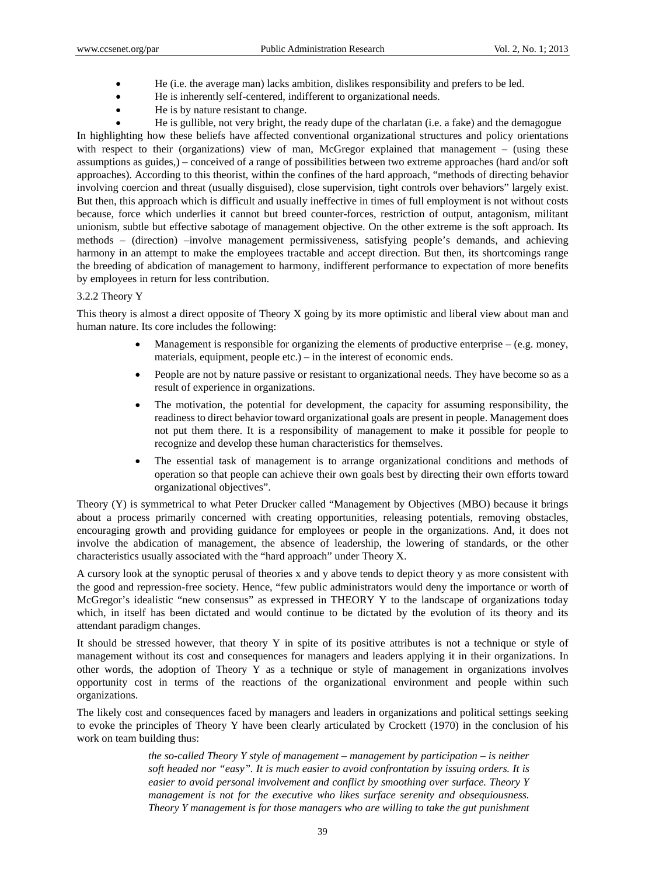- He (i.e. the average man) lacks ambition, dislikes responsibility and prefers to be led.
- He is inherently self-centered, indifferent to organizational needs.
- He is by nature resistant to change.

 He is gullible, not very bright, the ready dupe of the charlatan (i.e. a fake) and the demagogue In highlighting how these beliefs have affected conventional organizational structures and policy orientations with respect to their (organizations) view of man, McGregor explained that management – (using these assumptions as guides,) – conceived of a range of possibilities between two extreme approaches (hard and/or soft approaches). According to this theorist, within the confines of the hard approach, "methods of directing behavior involving coercion and threat (usually disguised), close supervision, tight controls over behaviors" largely exist. But then, this approach which is difficult and usually ineffective in times of full employment is not without costs because, force which underlies it cannot but breed counter-forces, restriction of output, antagonism, militant unionism, subtle but effective sabotage of management objective. On the other extreme is the soft approach. Its methods – (direction) –involve management permissiveness, satisfying people's demands, and achieving harmony in an attempt to make the employees tractable and accept direction. But then, its shortcomings range the breeding of abdication of management to harmony, indifferent performance to expectation of more benefits by employees in return for less contribution.

## 3.2.2 Theory Y

This theory is almost a direct opposite of Theory X going by its more optimistic and liberal view about man and human nature. Its core includes the following:

- Management is responsible for organizing the elements of productive enterprise (e.g. money, materials, equipment, people etc.) – in the interest of economic ends.
- People are not by nature passive or resistant to organizational needs. They have become so as a result of experience in organizations.
- The motivation, the potential for development, the capacity for assuming responsibility, the readiness to direct behavior toward organizational goals are present in people. Management does not put them there. It is a responsibility of management to make it possible for people to recognize and develop these human characteristics for themselves.
- The essential task of management is to arrange organizational conditions and methods of operation so that people can achieve their own goals best by directing their own efforts toward organizational objectives".

Theory (Y) is symmetrical to what Peter Drucker called "Management by Objectives (MBO) because it brings about a process primarily concerned with creating opportunities, releasing potentials, removing obstacles, encouraging growth and providing guidance for employees or people in the organizations. And, it does not involve the abdication of management, the absence of leadership, the lowering of standards, or the other characteristics usually associated with the "hard approach" under Theory X.

A cursory look at the synoptic perusal of theories x and y above tends to depict theory y as more consistent with the good and repression-free society. Hence, "few public administrators would deny the importance or worth of McGregor's idealistic "new consensus" as expressed in THEORY Y to the landscape of organizations today which, in itself has been dictated and would continue to be dictated by the evolution of its theory and its attendant paradigm changes.

It should be stressed however, that theory Y in spite of its positive attributes is not a technique or style of management without its cost and consequences for managers and leaders applying it in their organizations. In other words, the adoption of Theory Y as a technique or style of management in organizations involves opportunity cost in terms of the reactions of the organizational environment and people within such organizations.

The likely cost and consequences faced by managers and leaders in organizations and political settings seeking to evoke the principles of Theory Y have been clearly articulated by Crockett (1970) in the conclusion of his work on team building thus:

> *the so-called Theory Y style of management – management by participation – is neither soft headed nor "easy". It is much easier to avoid confrontation by issuing orders. It is easier to avoid personal involvement and conflict by smoothing over surface. Theory Y management is not for the executive who likes surface serenity and obsequiousness. Theory Y management is for those managers who are willing to take the gut punishment*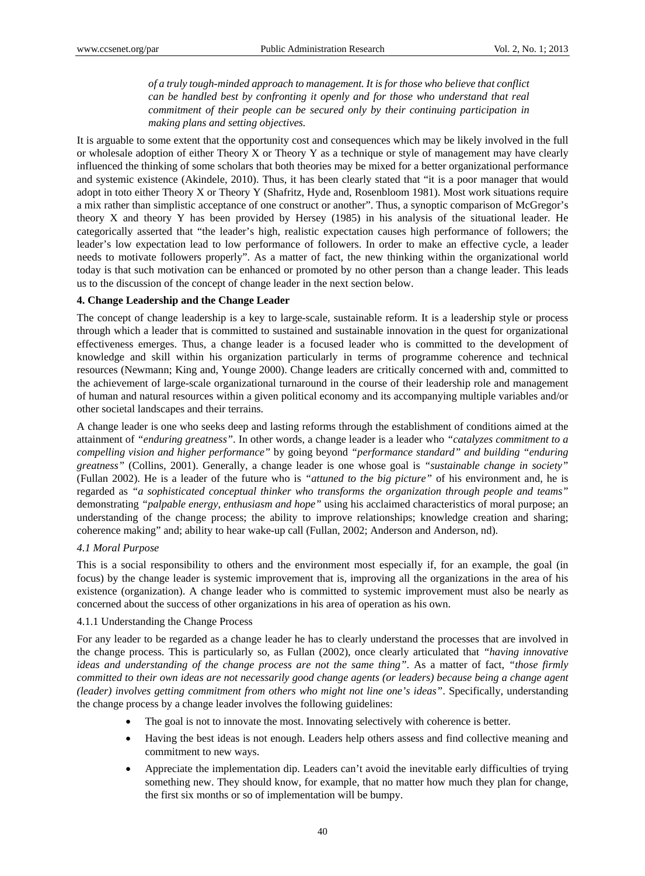*of a truly tough-minded approach to management. It is for those who believe that conflict can be handled best by confronting it openly and for those who understand that real commitment of their people can be secured only by their continuing participation in making plans and setting objectives.* 

It is arguable to some extent that the opportunity cost and consequences which may be likely involved in the full or wholesale adoption of either Theory X or Theory Y as a technique or style of management may have clearly influenced the thinking of some scholars that both theories may be mixed for a better organizational performance and systemic existence (Akindele, 2010). Thus, it has been clearly stated that "it is a poor manager that would adopt in toto either Theory X or Theory Y (Shafritz, Hyde and, Rosenbloom 1981). Most work situations require a mix rather than simplistic acceptance of one construct or another". Thus, a synoptic comparison of McGregor's theory X and theory Y has been provided by Hersey (1985) in his analysis of the situational leader. He categorically asserted that "the leader's high, realistic expectation causes high performance of followers; the leader's low expectation lead to low performance of followers. In order to make an effective cycle, a leader needs to motivate followers properly". As a matter of fact, the new thinking within the organizational world today is that such motivation can be enhanced or promoted by no other person than a change leader. This leads us to the discussion of the concept of change leader in the next section below.

#### **4. Change Leadership and the Change Leader**

The concept of change leadership is a key to large-scale, sustainable reform. It is a leadership style or process through which a leader that is committed to sustained and sustainable innovation in the quest for organizational effectiveness emerges. Thus, a change leader is a focused leader who is committed to the development of knowledge and skill within his organization particularly in terms of programme coherence and technical resources (Newmann; King and, Younge 2000). Change leaders are critically concerned with and, committed to the achievement of large-scale organizational turnaround in the course of their leadership role and management of human and natural resources within a given political economy and its accompanying multiple variables and/or other societal landscapes and their terrains.

A change leader is one who seeks deep and lasting reforms through the establishment of conditions aimed at the attainment of *"enduring greatness"*. In other words, a change leader is a leader who *"catalyzes commitment to a compelling vision and higher performance"* by going beyond *"performance standard" and building "enduring greatness"* (Collins, 2001). Generally, a change leader is one whose goal is *"sustainable change in society"* (Fullan 2002). He is a leader of the future who is *"attuned to the big picture"* of his environment and, he is regarded as *"a sophisticated conceptual thinker who transforms the organization through people and teams"*  demonstrating *"palpable energy, enthusiasm and hope"* using his acclaimed characteristics of moral purpose; an understanding of the change process; the ability to improve relationships; knowledge creation and sharing; coherence making" and; ability to hear wake-up call (Fullan, 2002; Anderson and Anderson, nd).

#### *4.1 Moral Purpose*

This is a social responsibility to others and the environment most especially if, for an example, the goal (in focus) by the change leader is systemic improvement that is, improving all the organizations in the area of his existence (organization). A change leader who is committed to systemic improvement must also be nearly as concerned about the success of other organizations in his area of operation as his own.

## 4.1.1 Understanding the Change Process

For any leader to be regarded as a change leader he has to clearly understand the processes that are involved in the change process. This is particularly so, as Fullan (2002), once clearly articulated that *"having innovative ideas and understanding of the change process are not the same thing"*. As a matter of fact, *"those firmly committed to their own ideas are not necessarily good change agents (or leaders) because being a change agent (leader) involves getting commitment from others who might not line one's ideas"*. Specifically, understanding the change process by a change leader involves the following guidelines:

- The goal is not to innovate the most. Innovating selectively with coherence is better.
- Having the best ideas is not enough. Leaders help others assess and find collective meaning and commitment to new ways.
- Appreciate the implementation dip. Leaders can't avoid the inevitable early difficulties of trying something new. They should know, for example, that no matter how much they plan for change, the first six months or so of implementation will be bumpy.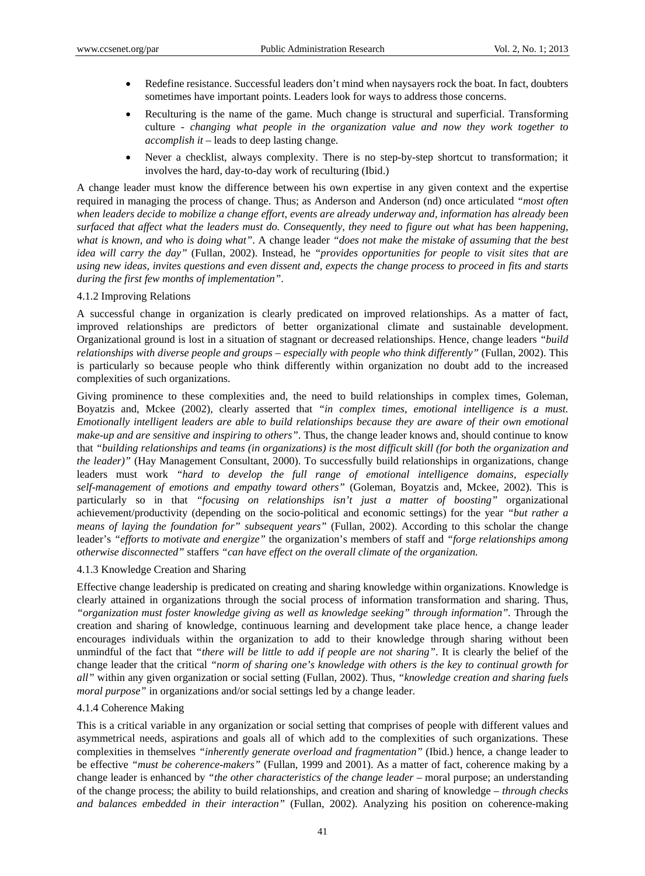- Redefine resistance. Successful leaders don't mind when naysayers rock the boat. In fact, doubters sometimes have important points. Leaders look for ways to address those concerns.
- Reculturing is the name of the game. Much change is structural and superficial. Transforming culture - *changing what people in the organization value and now they work together to accomplish it* – leads to deep lasting change.
- Never a checklist, always complexity. There is no step-by-step shortcut to transformation; it involves the hard, day-to-day work of reculturing (Ibid.)

A change leader must know the difference between his own expertise in any given context and the expertise required in managing the process of change. Thus; as Anderson and Anderson (nd) once articulated *"most often when leaders decide to mobilize a change effort, events are already underway and, information has already been surfaced that affect what the leaders must do. Consequently, they need to figure out what has been happening, what is known, and who is doing what"*. A change leader *"does not make the mistake of assuming that the best idea will carry the day"* (Fullan, 2002). Instead, he *"provides opportunities for people to visit sites that are using new ideas, invites questions and even dissent and, expects the change process to proceed in fits and starts during the first few months of implementation"*.

## 4.1.2 Improving Relations

A successful change in organization is clearly predicated on improved relationships. As a matter of fact, improved relationships are predictors of better organizational climate and sustainable development. Organizational ground is lost in a situation of stagnant or decreased relationships. Hence, change leaders *"build relationships with diverse people and groups – especially with people who think differently"* (Fullan, 2002). This is particularly so because people who think differently within organization no doubt add to the increased complexities of such organizations.

Giving prominence to these complexities and, the need to build relationships in complex times, Goleman, Boyatzis and, Mckee (2002), clearly asserted that *"in complex times, emotional intelligence is a must. Emotionally intelligent leaders are able to build relationships because they are aware of their own emotional make-up and are sensitive and inspiring to others"*. Thus, the change leader knows and, should continue to know that *"building relationships and teams (in organizations) is the most difficult skill (for both the organization and the leader)"* (Hay Management Consultant, 2000). To successfully build relationships in organizations, change leaders must work *"hard to develop the full range of emotional intelligence domains, especially self-management of emotions and empathy toward others"* (Goleman, Boyatzis and, Mckee, 2002). This is particularly so in that *"focusing on relationships isn't just a matter of boosting"* organizational achievement/productivity (depending on the socio-political and economic settings) for the year *"but rather a means of laying the foundation for" subsequent years"* (Fullan, 2002). According to this scholar the change leader's *"efforts to motivate and energize"* the organization's members of staff and *"forge relationships among otherwise disconnected"* staffers *"can have effect on the overall climate of the organization.* 

## 4.1.3 Knowledge Creation and Sharing

Effective change leadership is predicated on creating and sharing knowledge within organizations. Knowledge is clearly attained in organizations through the social process of information transformation and sharing. Thus, "organization must foster knowledge giving as well as knowledge seeking" through information". Through the creation and sharing of knowledge, continuous learning and development take place hence, a change leader encourages individuals within the organization to add to their knowledge through sharing without been unmindful of the fact that *"there will be little to add if people are not sharing"*. It is clearly the belief of the change leader that the critical *"norm of sharing one's knowledge with others is the key to continual growth for all"* within any given organization or social setting (Fullan, 2002). Thus, *"knowledge creation and sharing fuels moral purpose"* in organizations and/or social settings led by a change leader.

#### 4.1.4 Coherence Making

This is a critical variable in any organization or social setting that comprises of people with different values and asymmetrical needs, aspirations and goals all of which add to the complexities of such organizations. These complexities in themselves *"inherently generate overload and fragmentation"* (Ibid.) hence, a change leader to be effective *"must be coherence-makers"* (Fullan, 1999 and 2001). As a matter of fact, coherence making by a change leader is enhanced by *"the other characteristics of the change leader –* moral purpose; an understanding of the change process; the ability to build relationships, and creation and sharing of knowledge *– through checks and balances embedded in their interaction"* (Fullan, 2002). Analyzing his position on coherence-making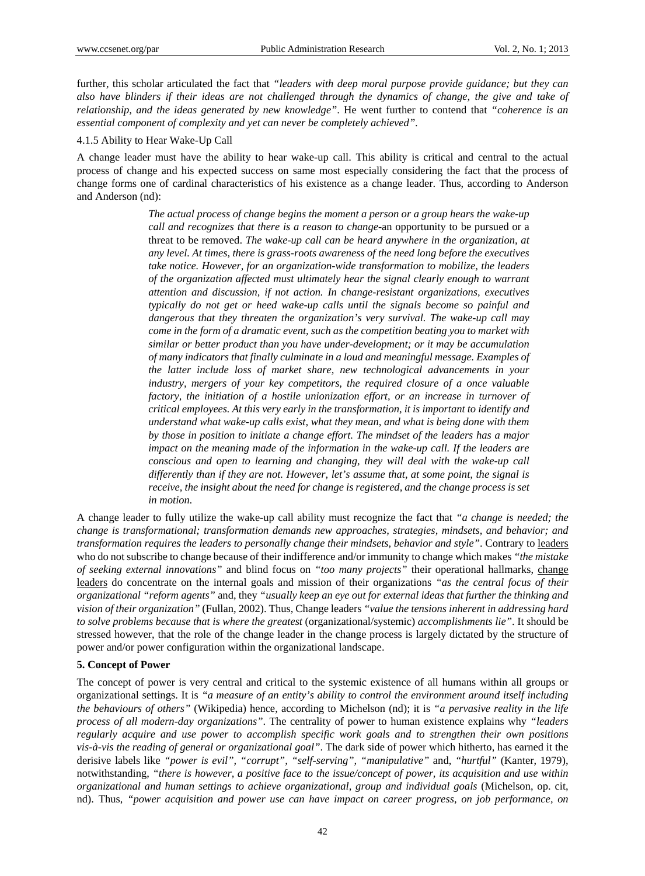further, this scholar articulated the fact that *"leaders with deep moral purpose provide guidance; but they can also have blinders if their ideas are not challenged through the dynamics of change, the give and take of relationship, and the ideas generated by new knowledge"*. He went further to contend that *"coherence is an essential component of complexity and yet can never be completely achieved"*.

# 4.1.5 Ability to Hear Wake-Up Call

A change leader must have the ability to hear wake-up call. This ability is critical and central to the actual process of change and his expected success on same most especially considering the fact that the process of change forms one of cardinal characteristics of his existence as a change leader. Thus, according to Anderson and Anderson (nd):

> *The actual process of change begins the moment a person or a group hears the wake-up call and recognizes that there is a reason to change-*an opportunity to be pursued or a threat to be removed. *The wake-up call can be heard anywhere in the organization, at any level. At times, there is grass-roots awareness of the need long before the executives take notice. However, for an organization-wide transformation to mobilize, the leaders of the organization affected must ultimately hear the signal clearly enough to warrant attention and discussion, if not action. In change-resistant organizations, executives typically do not get or heed wake-up calls until the signals become so painful and dangerous that they threaten the organization's very survival. The wake-up call may come in the form of a dramatic event, such as the competition beating you to market with similar or better product than you have under-development; or it may be accumulation of many indicators that finally culminate in a loud and meaningful message. Examples of the latter include loss of market share, new technological advancements in your industry, mergers of your key competitors, the required closure of a once valuable factory, the initiation of a hostile unionization effort, or an increase in turnover of critical employees. At this very early in the transformation, it is important to identify and understand what wake-up calls exist, what they mean, and what is being done with them by those in position to initiate a change effort. The mindset of the leaders has a major impact on the meaning made of the information in the wake-up call. If the leaders are conscious and open to learning and changing, they will deal with the wake-up call differently than if they are not. However, let's assume that, at some point, the signal is receive, the insight about the need for change is registered, and the change process is set in motion.*

A change leader to fully utilize the wake-up call ability must recognize the fact that *"a change is needed; the change is transformational; transformation demands new approaches, strategies, mindsets, and behavior; and transformation requires the leaders to personally change their mindsets, behavior and style"*. Contrary to leaders who do not subscribe to change because of their indifference and/or immunity to change which makes *"the mistake of seeking external innovations"* and blind focus on *"too many projects"* their operational hallmarks, change leaders do concentrate on the internal goals and mission of their organizations *"as the central focus of their organizational "reform agents"* and, they *"usually keep an eye out for external ideas that further the thinking and vision of their organization"* (Fullan, 2002). Thus, Change leaders *"value the tensions inherent in addressing hard to solve problems because that is where the greatest* (organizational/systemic) *accomplishments lie"*. It should be stressed however, that the role of the change leader in the change process is largely dictated by the structure of power and/or power configuration within the organizational landscape.

# **5. Concept of Power**

The concept of power is very central and critical to the systemic existence of all humans within all groups or organizational settings. It is *"a measure of an entity's ability to control the environment around itself including the behaviours of others"* (Wikipedia) hence, according to Michelson (nd); it is *"a pervasive reality in the life process of all modern-day organizations"*. The centrality of power to human existence explains why *"leaders regularly acquire and use power to accomplish specific work goals and to strengthen their own positions vis-à-vis the reading of general or organizational goal"*. The dark side of power which hitherto, has earned it the derisive labels like *"power is evil", "corrupt", "self-serving", "manipulative"* and, *"hurtful"* (Kanter, 1979), notwithstanding, *"there is however, a positive face to the issue/concept of power, its acquisition and use within organizational and human settings to achieve organizational, group and individual goals* (Michelson, op. cit, nd). Thus, *"power acquisition and power use can have impact on career progress, on job performance, on*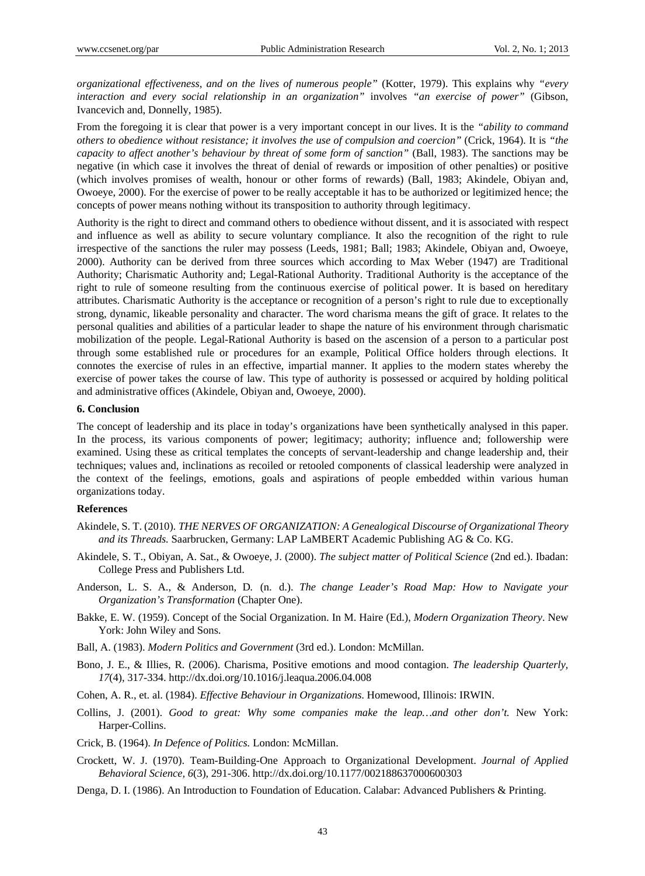*organizational effectiveness, and on the lives of numerous people"* (Kotter, 1979). This explains why *"every interaction and every social relationship in an organization"* involves *"an exercise of power"* (Gibson, Ivancevich and, Donnelly, 1985).

From the foregoing it is clear that power is a very important concept in our lives. It is the *"ability to command others to obedience without resistance; it involves the use of compulsion and coercion"* (Crick, 1964). It is *"the capacity to affect another's behaviour by threat of some form of sanction"* (Ball, 1983). The sanctions may be negative (in which case it involves the threat of denial of rewards or imposition of other penalties) or positive (which involves promises of wealth, honour or other forms of rewards) (Ball, 1983; Akindele, Obiyan and, Owoeye, 2000). For the exercise of power to be really acceptable it has to be authorized or legitimized hence; the concepts of power means nothing without its transposition to authority through legitimacy.

Authority is the right to direct and command others to obedience without dissent, and it is associated with respect and influence as well as ability to secure voluntary compliance. It also the recognition of the right to rule irrespective of the sanctions the ruler may possess (Leeds, 1981; Ball; 1983; Akindele, Obiyan and, Owoeye, 2000). Authority can be derived from three sources which according to Max Weber (1947) are Traditional Authority; Charismatic Authority and; Legal-Rational Authority. Traditional Authority is the acceptance of the right to rule of someone resulting from the continuous exercise of political power. It is based on hereditary attributes. Charismatic Authority is the acceptance or recognition of a person's right to rule due to exceptionally strong, dynamic, likeable personality and character. The word charisma means the gift of grace. It relates to the personal qualities and abilities of a particular leader to shape the nature of his environment through charismatic mobilization of the people. Legal-Rational Authority is based on the ascension of a person to a particular post through some established rule or procedures for an example, Political Office holders through elections. It connotes the exercise of rules in an effective, impartial manner. It applies to the modern states whereby the exercise of power takes the course of law. This type of authority is possessed or acquired by holding political and administrative offices (Akindele, Obiyan and, Owoeye, 2000).

## **6. Conclusion**

The concept of leadership and its place in today's organizations have been synthetically analysed in this paper. In the process, its various components of power; legitimacy; authority; influence and; followership were examined. Using these as critical templates the concepts of servant-leadership and change leadership and, their techniques; values and, inclinations as recoiled or retooled components of classical leadership were analyzed in the context of the feelings, emotions, goals and aspirations of people embedded within various human organizations today.

# **References**

- Akindele, S. T. (2010). *THE NERVES OF ORGANIZATION: A Genealogical Discourse of Organizational Theory and its Threads.* Saarbrucken, Germany: LAP LaMBERT Academic Publishing AG & Co. KG.
- Akindele, S. T., Obiyan, A. Sat., & Owoeye, J. (2000). *The subject matter of Political Science* (2nd ed.). Ibadan: College Press and Publishers Ltd.
- Anderson, L. S. A., & Anderson, D*.* (n. d.). *The change Leader's Road Map: How to Navigate your Organization's Transformation* (Chapter One).
- Bakke, E. W. (1959). Concept of the Social Organization. In M. Haire (Ed.), *Modern Organization Theory*. New York: John Wiley and Sons.
- Ball, A. (1983). *Modern Politics and Government* (3rd ed.). London: McMillan.
- Bono, J. E., & Illies, R. (2006). Charisma, Positive emotions and mood contagion. *The leadership Quarterly, 17*(4), 317-334. http://dx.doi.org/10.1016/j.leaqua.2006.04.008
- Cohen, A. R., et. al. (1984). *Effective Behaviour in Organizations*. Homewood, Illinois: IRWIN.
- Collins, J. (2001). *Good to great: Why some companies make the leap…and other don't.* New York: Harper-Collins.

Crick, B. (1964). *In Defence of Politics.* London: McMillan.

- Crockett, W. J. (1970). Team-Building-One Approach to Organizational Development. *Journal of Applied Behavioral Science, 6*(3), 291-306. http://dx.doi.org/10.1177/002188637000600303
- Denga, D. I. (1986). An Introduction to Foundation of Education. Calabar: Advanced Publishers & Printing.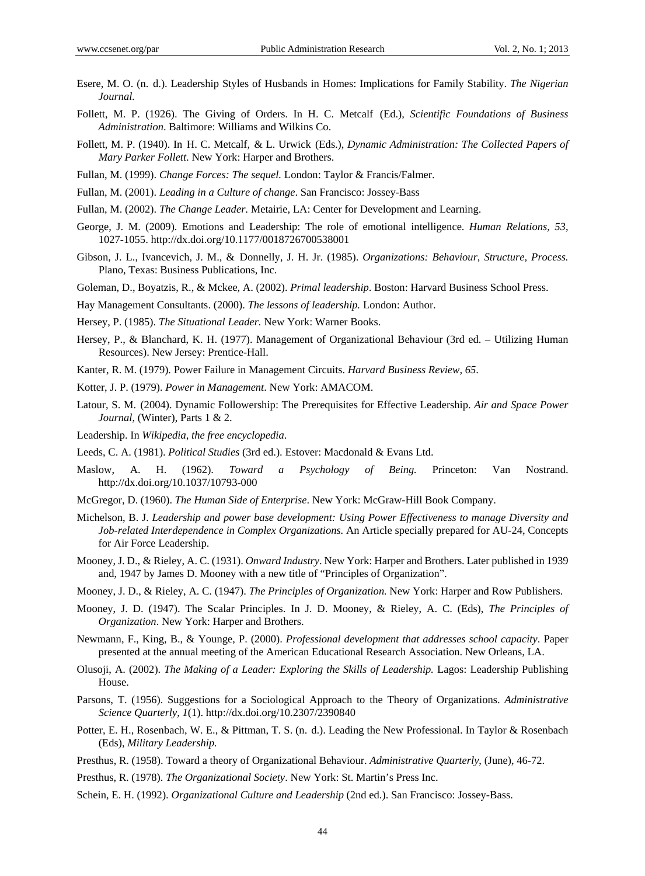- Esere, M. O. (n. d.). Leadership Styles of Husbands in Homes: Implications for Family Stability. *The Nigerian Journal.*
- Follett, M. P. (1926). The Giving of Orders. In H. C. Metcalf (Ed.), *Scientific Foundations of Business Administration*. Baltimore: Williams and Wilkins Co.
- Follett, M. P. (1940). In H. C. Metcalf, & L. Urwick (Eds.), *Dynamic Administration: The Collected Papers of Mary Parker Follett*. New York: Harper and Brothers.
- Fullan, M. (1999). *Change Forces: The sequel.* London: Taylor & Francis/Falmer.
- Fullan, M. (2001). *Leading in a Culture of change*. San Francisco: Jossey-Bass
- Fullan, M. (2002). *The Change Leader*. Metairie, LA: Center for Development and Learning.
- George, J. M. (2009). Emotions and Leadership: The role of emotional intelligence. *Human Relations, 53*, 1027-1055. http://dx.doi.org/10.1177/0018726700538001
- Gibson, J. L., Ivancevich, J. M., & Donnelly, J. H. Jr. (1985). *Organizations: Behaviour, Structure, Process.* Plano, Texas: Business Publications, Inc.
- Goleman, D., Boyatzis, R., & Mckee, A. (2002). *Primal leadership*. Boston: Harvard Business School Press.
- Hay Management Consultants. (2000). *The lessons of leadership.* London: Author.
- Hersey, P. (1985). *The Situational Leader.* New York: Warner Books.
- Hersey, P., & Blanchard, K. H. (1977). Management of Organizational Behaviour (3rd ed. Utilizing Human Resources). New Jersey: Prentice-Hall.
- Kanter, R. M. (1979). Power Failure in Management Circuits. *Harvard Business Review, 65*.
- Kotter, J. P. (1979). *Power in Management*. New York: AMACOM.
- Latour, S. M. (2004). Dynamic Followership: The Prerequisites for Effective Leadership. *Air and Space Power Journal*, (Winter), Parts 1 & 2.
- Leadership. In *Wikipedia, the free encyclopedia*.
- Leeds, C. A. (1981). *Political Studies* (3rd ed.). Estover: Macdonald & Evans Ltd.
- Maslow, A. H. (1962). *Toward a Psychology of Being.* Princeton: Van Nostrand. http://dx.doi.org/10.1037/10793-000
- McGregor, D. (1960). *The Human Side of Enterprise*. New York: McGraw-Hill Book Company.
- Michelson, B. J. *Leadership and power base development: Using Power Effectiveness to manage Diversity and Job-related Interdependence in Complex Organizations.* An Article specially prepared for AU-24, Concepts for Air Force Leadership.
- Mooney, J. D., & Rieley, A. C. (1931). *Onward Industry*. New York: Harper and Brothers. Later published in 1939 and, 1947 by James D. Mooney with a new title of "Principles of Organization".
- Mooney, J. D., & Rieley, A. C. (1947). *The Principles of Organization.* New York: Harper and Row Publishers.
- Mooney, J. D. (1947). The Scalar Principles. In J. D. Mooney, & Rieley, A. C. (Eds), *The Principles of Organization*. New York: Harper and Brothers.
- Newmann, F., King, B., & Younge, P. (2000). *Professional development that addresses school capacity*. Paper presented at the annual meeting of the American Educational Research Association. New Orleans, LA.
- Olusoji, A. (2002). *The Making of a Leader: Exploring the Skills of Leadership.* Lagos: Leadership Publishing House.
- Parsons, T. (1956). Suggestions for a Sociological Approach to the Theory of Organizations. *Administrative Science Quarterly, 1*(1). http://dx.doi.org/10.2307/2390840
- Potter, E. H., Rosenbach, W. E., & Pittman, T. S. (n. d.). Leading the New Professional. In Taylor & Rosenbach (Eds), *Military Leadership.*
- Presthus, R. (1958). Toward a theory of Organizational Behaviour. *Administrative Quarterly*, (June), 46-72.
- Presthus, R. (1978). *The Organizational Society*. New York: St. Martin's Press Inc.
- Schein, E. H. (1992). *Organizational Culture and Leadership* (2nd ed.). San Francisco: Jossey-Bass.